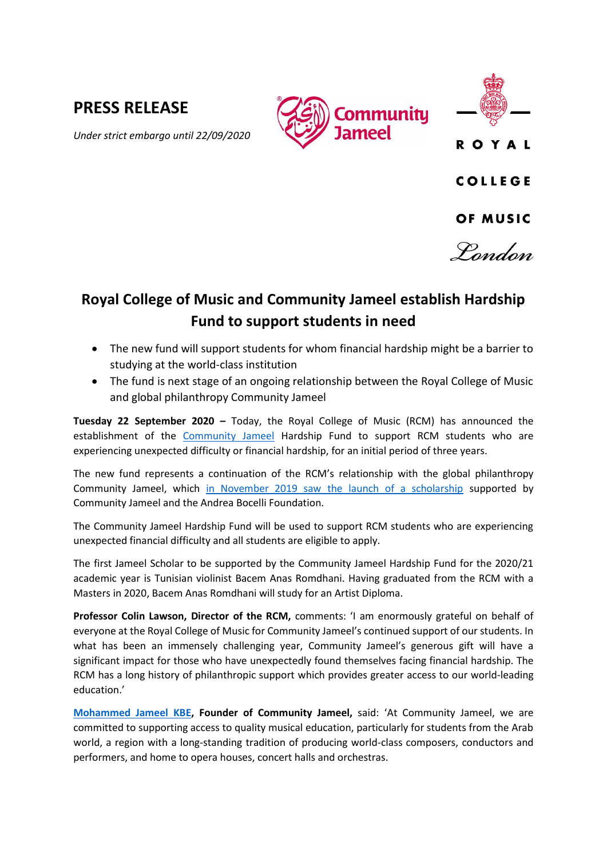# **PRESS RELEASE**





*Under strict embargo until 22/09/2020*

**COLLEGE** 

**ROYAL** 

### OF MUSIC

Pandan

## **Royal College of Music and Community Jameel establish Hardship Fund to support students in need**

- The new fund will support students for whom financial hardship might be a barrier to studying at the world-class institution
- The fund is next stage of an ongoing relationship between the Royal College of Music and global philanthropy Community Jameel

**Tuesday 22 September 2020 –** Today, the Royal College of Music (RCM) has announced the establishment of the [Community Jameel](https://www.communityjameel.org/) Hardship Fund to support RCM students who are experiencing unexpected difficulty or financial hardship, for an initial period of three years.

The new fund represents a continuation of the RCM's relationship with the global philanthropy Community Jameel, which [in November 2019 saw the launch of a scholarship](https://www.rcm.ac.uk/about/news/all/2019-11-25bocelli-communityjameel.aspx) supported by Community Jameel and the Andrea Bocelli Foundation.

The Community Jameel Hardship Fund will be used to support RCM students who are experiencing unexpected financial difficulty and all students are eligible to apply.

The first Jameel Scholar to be supported by the Community Jameel Hardship Fund for the 2020/21 academic year is Tunisian violinist Bacem Anas Romdhani. Having graduated from the RCM with a Masters in 2020, Bacem Anas Romdhani will study for an Artist Diploma.

**Professor Colin Lawson, Director of the RCM,** comments: 'I am enormously grateful on behalf of everyone at the Royal College of Music for Community Jameel's continued support of our students. In what has been an immensely challenging year, Community Jameel's generous gift will have a significant impact for those who have unexpectedly found themselves facing financial hardship. The RCM has a long history of philanthropic support which provides greater access to our world-leading education.'

**[Mohammed Jameel](https://www.communityjameel.org/en/who-we-are/Jameel-family/mohammed-jameel-kbe) KBE, Founder of Community Jameel,** said: 'At Community Jameel, we are committed to supporting access to quality musical education, particularly for students from the Arab world, a region with a long-standing tradition of producing world-class composers, conductors and performers, and home to opera houses, concert halls and orchestras.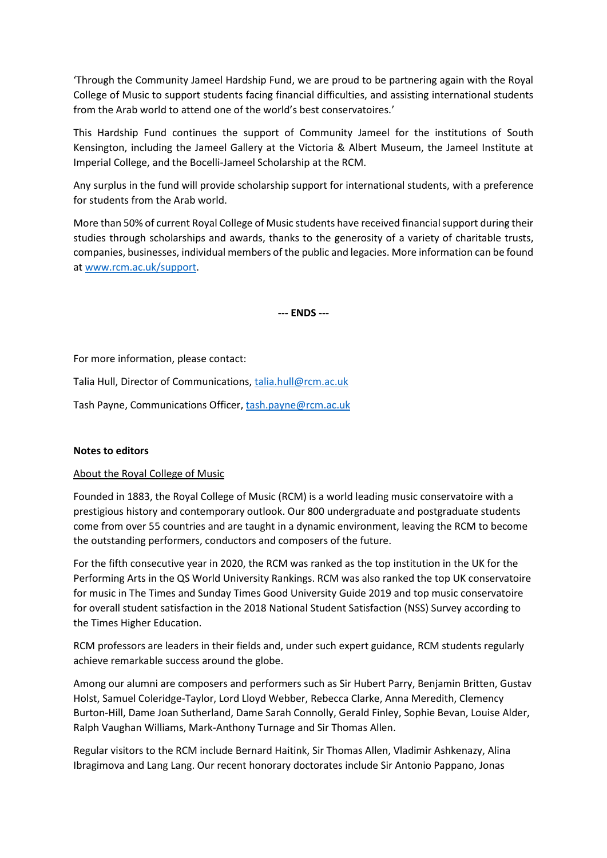'Through the Community Jameel Hardship Fund, we are proud to be partnering again with the Royal College of Music to support students facing financial difficulties, and assisting international students from the Arab world to attend one of the world's best conservatoires.'

This Hardship Fund continues the support of Community Jameel for the institutions of South Kensington, including the Jameel Gallery at the Victoria & Albert Museum, the Jameel Institute at Imperial College, and the Bocelli-Jameel Scholarship at the RCM.

Any surplus in the fund will provide scholarship support for international students, with a preference for students from the Arab world.

More than 50% of current Royal College of Music students have received financial support during their studies through scholarships and awards, thanks to the generosity of a variety of charitable trusts, companies, businesses, individual members of the public and legacies. More information can be found a[t www.rcm.ac.uk/support.](http://www.rcm.ac.uk/support)

**--- ENDS ---**

For more information, please contact:

Talia Hull, Director of Communications[, talia.hull@rcm.ac.uk](mailto:talia.hull@rcm.ac.uk)

Tash Payne, Communications Officer, [tash.payne@rcm.ac.uk](mailto:tash.payne@rcm.ac.uk)

#### **Notes to editors**

#### About the Royal College of Music

Founded in 1883, the Royal College of Music (RCM) is a world leading music conservatoire with a prestigious history and contemporary outlook. Our 800 undergraduate and postgraduate students come from over 55 countries and are taught in a dynamic environment, leaving the RCM to become the outstanding performers, conductors and composers of the future.

For the fifth consecutive year in 2020, the RCM was ranked as the top institution in the UK for the Performing Arts in the QS World University Rankings. RCM was also ranked the top UK conservatoire for music in The Times and Sunday Times Good University Guide 2019 and top music conservatoire for overall student satisfaction in the 2018 National Student Satisfaction (NSS) Survey according to the Times Higher Education.

RCM professors are leaders in their fields and, under such expert guidance, RCM students regularly achieve remarkable success around the globe.

Among our alumni are composers and performers such as Sir Hubert Parry, Benjamin Britten, Gustav Holst, Samuel Coleridge-Taylor, Lord Lloyd Webber, Rebecca Clarke, Anna Meredith, Clemency Burton-Hill, Dame Joan Sutherland, Dame Sarah Connolly, Gerald Finley, Sophie Bevan, Louise Alder, Ralph Vaughan Williams, Mark-Anthony Turnage and Sir Thomas Allen.

Regular visitors to the RCM include Bernard Haitink, Sir Thomas Allen, Vladimir Ashkenazy, Alina Ibragimova and Lang Lang. Our recent honorary doctorates include Sir Antonio Pappano, Jonas